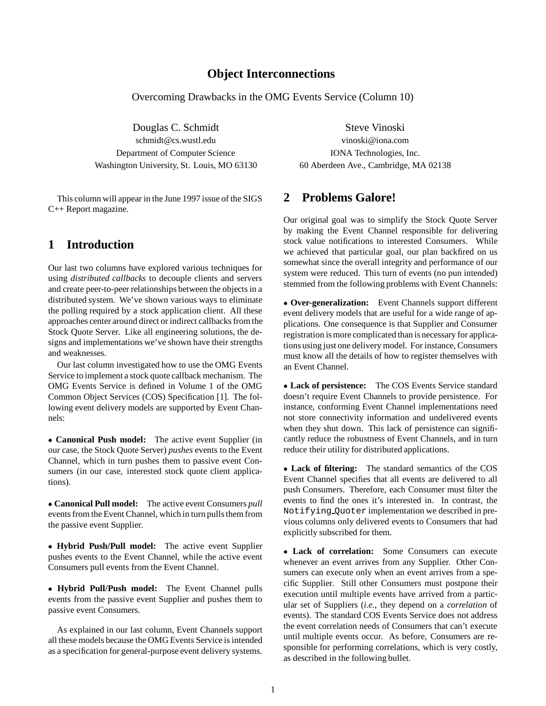### **Object Interconnections**

Overcoming Drawbacks in the OMG Events Service (Column 10)

Douglas C. Schmidt Steve Vinoski schmidt@cs.wustl.edu vinoski@iona.com Department of Computer Science IONA Technologies, Inc. Washington University, St. Louis, MO 63130 60 Aberdeen Ave., Cambridge, MA 02138

This column will appear in the June 1997 issue of the SIGS C++ Report magazine.

# **1 Introduction**

Our last two columns have explored various techniques for using *distributed callbacks* to decouple clients and servers and create peer-to-peer relationships between the objects in a distributed system. We've shown various ways to eliminate the polling required by a stock application client. All these approaches center around direct or indirect callbacks from the Stock Quote Server. Like all engineering solutions, the designs and implementations we've shown have their strengths and weaknesses.

Our last column investigated how to use the OMG Events Service to implement a stock quote callback mechanism. The OMG Events Service is defined in Volume 1 of the OMG Common Object Services (COS) Specification [1]. The following event delivery models are supported by Event Channels:

 **Canonical Push model:** The active event Supplier (in our case, the Stock Quote Server) *pushes* events to the Event Channel, which in turn pushes them to passive event Consumers (in our case, interested stock quote client applications).

 **Canonical Pull model:** The active event Consumers *pull* events from the Event Channel, which in turn pulls them from the passive event Supplier.

 **Hybrid Push/Pull model:** The active event Supplier pushes events to the Event Channel, while the active event Consumers pull events from the Event Channel.

 **Hybrid Pull/Push model:** The Event Channel pulls events from the passive event Supplier and pushes them to passive event Consumers.

As explained in our last column, Event Channels support all these models because the OMG Events Service is intended as a specification for general-purpose event delivery systems.

# **2 Problems Galore!**

Our original goal was to simplify the Stock Quote Server by making the Event Channel responsible for delivering stock value notifications to interested Consumers. While we achieved that particular goal, our plan backfired on us somewhat since the overall integrity and performance of our system were reduced. This turn of events (no pun intended) stemmed from the following problems with Event Channels:

 **Over-generalization:** Event Channels support different event delivery models that are useful for a wide range of applications. One consequence is that Supplier and Consumer registration is more complicated than is necessary for applications using just one delivery model. For instance, Consumers must know all the details of how to register themselves with an Event Channel.

 **Lack of persistence:** The COS Events Service standard doesn't require Event Channels to provide persistence. For instance, conforming Event Channel implementations need not store connectivity information and undelivered events when they shut down. This lack of persistence can significantly reduce the robustness of Event Channels, and in turn reduce their utility for distributed applications.

 **Lack of filtering:** The standard semantics of the COS Event Channel specifies that all events are delivered to all push Consumers. Therefore, each Consumer must filter the events to find the ones it's interested in. In contrast, the Notifying Quoter implementation we described in previous columns only delivered events to Consumers that had explicitly subscribed for them.

 **Lack of correlation:** Some Consumers can execute whenever an event arrives from any Supplier. Other Consumers can execute only when an event arrives from a specific Supplier. Still other Consumers must postpone their execution until multiple events have arrived from a particular set of Suppliers (*i.e.*, they depend on a *correlation* of events). The standard COS Events Service does not address the event correlation needs of Consumers that can't execute until multiple events occur. As before, Consumers are responsible for performing correlations, which is very costly, as described in the following bullet.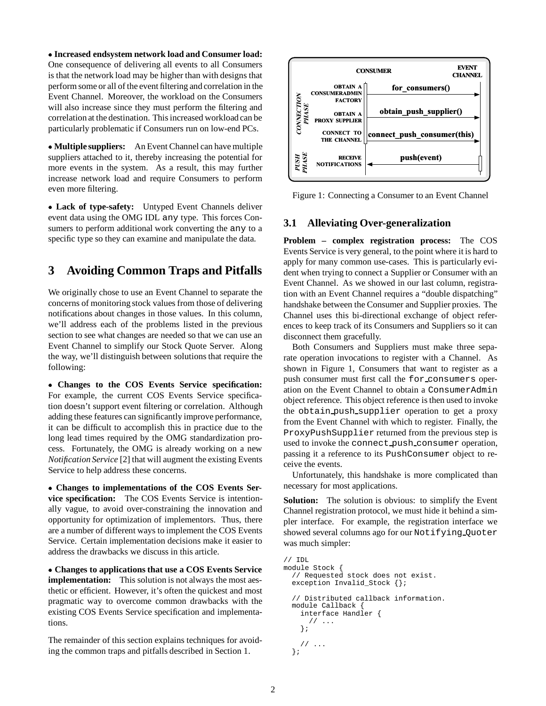**Increased endsystem network load and Consumer load:** One consequence of delivering all events to all Consumers is that the network load may be higher than with designs that perform some or all of the event filtering and correlation in the Event Channel. Moreover, the workload on the Consumers will also increase since they must perform the filtering and correlation at the destination. This increased workload can be particularly problematic if Consumers run on low-end PCs.

 **Multiple suppliers:** An Event Channel can have multiple suppliers attached to it, thereby increasing the potential for more events in the system. As a result, this may further increase network load and require Consumers to perform even more filtering.

 **Lack of type-safety:** Untyped Event Channels deliver event data using the OMG IDL any type. This forces Consumers to perform additional work converting the any to a specific type so they can examine and manipulate the data.

# **3 Avoiding Common Traps and Pitfalls**

We originally chose to use an Event Channel to separate the concerns of monitoring stock values from those of delivering notifications about changes in those values. In this column, we'll address each of the problems listed in the previous section to see what changes are needed so that we can use an Event Channel to simplify our Stock Quote Server. Along the way, we'll distinguish between solutions that require the following:

 **Changes to the COS Events Service specification:** For example, the current COS Events Service specification doesn't support event filtering or correlation. Although adding these features can significantly improve performance, it can be difficult to accomplish this in practice due to the long lead times required by the OMG standardization process. Fortunately, the OMG is already working on a new *Notification Service* [2] that will augment the existing Events Service to help address these concerns.

 **Changes to implementations of the COS Events Service specification:** The COS Events Service is intentionally vague, to avoid over-constraining the innovation and opportunity for optimization of implementors. Thus, there are a number of different ways to implement the COS Events Service. Certain implementation decisions make it easier to address the drawbacks we discuss in this article.

 **Changes to applications that use a COS Events Service implementation:** This solution is not always the most aesthetic or efficient. However, it's often the quickest and most pragmatic way to overcome common drawbacks with the existing COS Events Service specification and implementations.

The remainder of this section explains techniques for avoiding the common traps and pitfalls described in Section 1.



Figure 1: Connecting a Consumer to an Event Channel

## **3.1 Alleviating Over-generalization**

**Problem – complex registration process:** The COS Events Service is very general, to the point where it is hard to apply for many common use-cases. This is particularly evident when trying to connect a Supplier or Consumer with an Event Channel. As we showed in our last column, registration with an Event Channel requires a "double dispatching" handshake between the Consumer and Supplier proxies. The Channel uses this bi-directional exchange of object references to keep track of its Consumers and Suppliers so it can disconnect them gracefully.

Both Consumers and Suppliers must make three separate operation invocations to register with a Channel. As shown in Figure 1, Consumers that want to register as a push consumer must first call the for consumers operation on the Event Channel to obtain a ConsumerAdmin object reference. This object reference is then used to invoke the obtain push supplier operation to get a proxy from the Event Channel with which to register. Finally, the ProxyPushSupplier returned from the previous step is used to invoke the connect push consumer operation, passing it a reference to its PushConsumer object to receive the events.

Unfortunately, this handshake is more complicated than necessary for most applications.

**Solution:** The solution is obvious: to simplify the Event Channel registration protocol, we must hide it behind a simpler interface. For example, the registration interface we showed several columns ago for our Notifying Quoter was much simpler:

```
// IDL
module Stock {
  // Requested stock does not exist.
  exception Invalid_Stock {};
  // Distributed callback information.
 module Callback {
    interface Handler {
      // ...
    };
    // ...
  };
```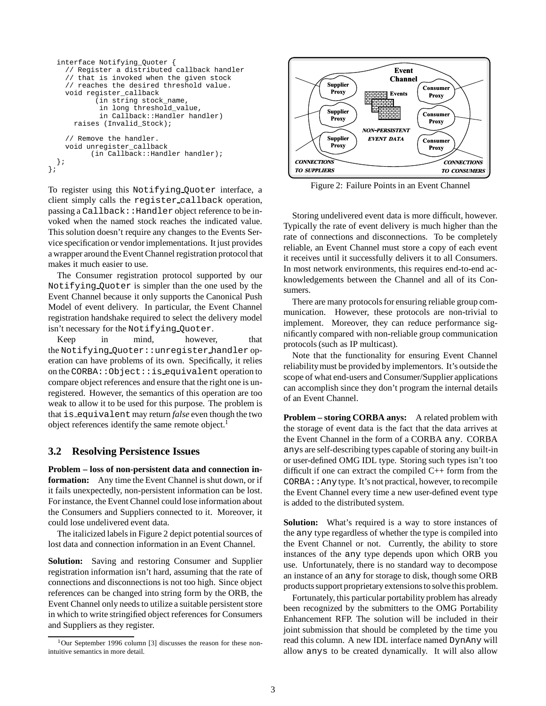```
interface Notifying_Quoter {
    // Register a distributed callback handler
    // that is invoked when the given stock
    // reaches the desired threshold value.
    void register_callback
           (in string stock_name,
            in long threshold_value,
            in Callback::Handler handler)
      raises (Invalid_Stock);
    // Remove the handler.
    void unregister_callback
          (in Callback::Handler handler);
 };
};
```
To register using this Notifying Quoter interface, a client simply calls the register callback operation, passing a Callback: : Handler object reference to be invoked when the named stock reaches the indicated value. This solution doesn't require any changes to the Events Service specification or vendor implementations. It just provides a wrapper around the Event Channel registration protocol that makes it much easier to use.

The Consumer registration protocol supported by our Notifying Quoter is simpler than the one used by the Event Channel because it only supports the Canonical Push Model of event delivery. In particular, the Event Channel registration handshake required to select the delivery model isn't necessary for the Notifying Quoter.

Keep in mind, however, that the Notifying Quoter::unregister handler operation can have problems of its own. Specifically, it relies on the CORBA::Object::is equivalent operation to compare object references and ensure that the right one is unregistered. However, the semantics of this operation are too weak to allow it to be used for this purpose. The problem is that is equivalent may return *false* even though the two object references identify the same remote object.<sup>1</sup>

### **3.2 Resolving Persistence Issues**

**Problem – loss of non-persistent data and connection information:** Any time the Event Channel is shut down, or if it fails unexpectedly, non-persistent information can be lost. For instance, the Event Channel could lose information about the Consumers and Suppliers connected to it. Moreover, it could lose undelivered event data.

The italicized labels in Figure 2 depict potential sources of lost data and connection information in an Event Channel.

**Solution:** Saving and restoring Consumer and Supplier registration information isn't hard, assuming that the rate of connections and disconnections is not too high. Since object references can be changed into string form by the ORB, the Event Channel only needs to utilize a suitable persistent store in which to write stringified object references for Consumers and Suppliers as they register.



Figure 2: Failure Points in an Event Channel

Storing undelivered event data is more difficult, however. Typically the rate of event delivery is much higher than the rate of connections and disconnections. To be completely reliable, an Event Channel must store a copy of each event it receives until it successfully delivers it to all Consumers. In most network environments, this requires end-to-end acknowledgements between the Channel and all of its Consumers.

There are many protocols for ensuring reliable group communication. However, these protocols are non-trivial to implement. Moreover, they can reduce performance significantly compared with non-reliable group communication protocols (such as IP multicast).

Note that the functionality for ensuring Event Channel reliabilitymust be provided by implementors. It's outside the scope of what end-users and Consumer/Supplier applications can accomplish since they don't program the internal details of an Event Channel.

**Problem – storing CORBA anys:** A related problem with the storage of event data is the fact that the data arrives at the Event Channel in the form of a CORBA any. CORBA anys are self-describing types capable of storing any built-in or user-defined OMG IDL type. Storing such types isn't too difficult if one can extract the compiled C++ form from the  $CORBA: :$  Any type. It's not practical, however, to recompile the Event Channel every time a new user-defined event type is added to the distributed system.

**Solution:** What's required is a way to store instances of the any type regardless of whether the type is compiled into the Event Channel or not. Currently, the ability to store instances of the any type depends upon which ORB you use. Unfortunately, there is no standard way to decompose an instance of an any for storage to disk, though some ORB products support proprietary extensions to solve this problem.

Fortunately, this particular portability problem has already been recognized by the submitters to the OMG Portability Enhancement RFP. The solution will be included in their joint submission that should be completed by the time you read this column. A new IDL interface named DynAny will allow anys to be created dynamically. It will also allow

 $1$ Our September 1996 column [3] discusses the reason for these nonintuitive semantics in more detail.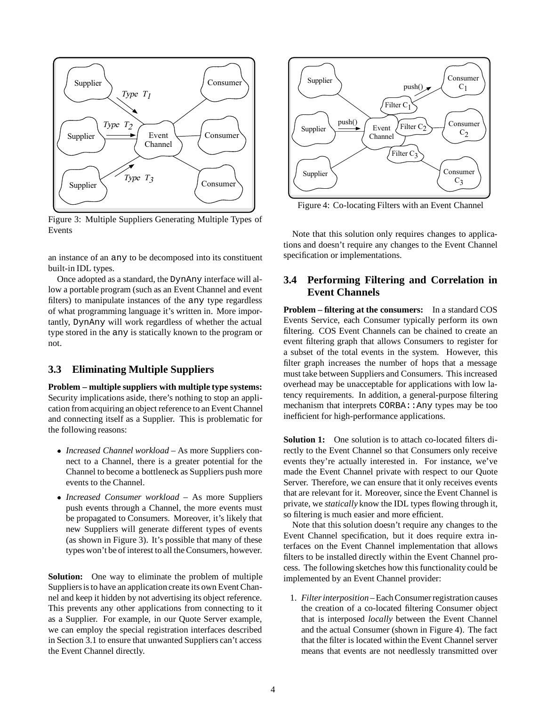

Figure 3: Multiple Suppliers Generating Multiple Types of Events

an instance of an any to be decomposed into its constituent built-in IDL types.

Once adopted as a standard, the DynAny interface will allow a portable program (such as an Event Channel and event filters) to manipulate instances of the any type regardless of what programming language it's written in. More importantly, DynAny will work regardless of whether the actual type stored in the any is statically known to the program or not.

### **3.3 Eliminating Multiple Suppliers**

**Problem – multiple suppliers with multiple type systems:** Security implications aside, there's nothing to stop an application from acquiring an object reference to an Event Channel and connecting itself as a Supplier. This is problematic for the following reasons:

- *Increased Channel workload* As more Suppliers connect to a Channel, there is a greater potential for the Channel to become a bottleneck as Suppliers push more events to the Channel.
- *Increased Consumer workload* As more Suppliers push events through a Channel, the more events must be propagated to Consumers. Moreover, it's likely that new Suppliers will generate different types of events (as shown in Figure 3). It's possible that many of these types won't be of interest to all the Consumers, however.

**Solution:** One way to eliminate the problem of multiple Suppliers is to have an application create its own Event Channel and keep it hidden by not advertising its object reference. This prevents any other applications from connecting to it as a Supplier. For example, in our Quote Server example, we can employ the special registration interfaces described in Section 3.1 to ensure that unwanted Suppliers can't access the Event Channel directly.



Figure 4: Co-locating Filters with an Event Channel

Note that this solution only requires changes to applications and doesn't require any changes to the Event Channel specification or implementations.

### **3.4 Performing Filtering and Correlation in Event Channels**

**Problem – filtering at the consumers:** In a standard COS Events Service, each Consumer typically perform its own filtering. COS Event Channels can be chained to create an event filtering graph that allows Consumers to register for a subset of the total events in the system. However, this filter graph increases the number of hops that a message must take between Suppliers and Consumers. This increased overhead may be unacceptable for applications with low latency requirements. In addition, a general-purpose filtering mechanism that interprets CORBA: : Any types may be too inefficient for high-performance applications.

**Solution 1:** One solution is to attach co-located filters directly to the Event Channel so that Consumers only receive events they're actually interested in. For instance, we've made the Event Channel private with respect to our Quote Server. Therefore, we can ensure that it only receives events that are relevant for it. Moreover, since the Event Channel is private, we *statically* know the IDL types flowing through it, so filtering is much easier and more efficient.

Note that this solution doesn't require any changes to the Event Channel specification, but it does require extra interfaces on the Event Channel implementation that allows filters to be installed directly within the Event Channel process. The following sketches how this functionality could be implemented by an Event Channel provider:

1. *Filter interposition* – Each Consumer registration causes the creation of a co-located filtering Consumer object that is interposed *locally* between the Event Channel and the actual Consumer (shown in Figure 4). The fact that the filter is located within the Event Channel server means that events are not needlessly transmitted over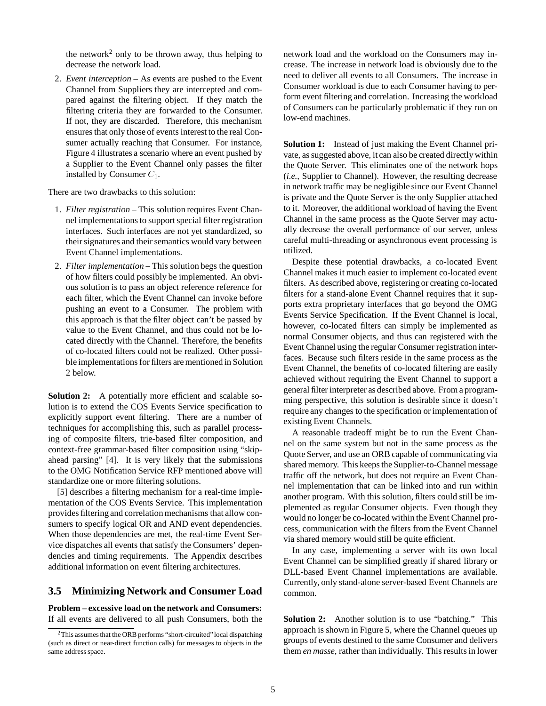the network<sup>2</sup> only to be thrown away, thus helping to decrease the network load.

2. *Event interception* – As events are pushed to the Event Channel from Suppliers they are intercepted and compared against the filtering object. If they match the filtering criteria they are forwarded to the Consumer. If not, they are discarded. Therefore, this mechanism ensures that only those of events interest to the real Consumer actually reaching that Consumer. For instance, Figure 4 illustrates a scenario where an event pushed by a Supplier to the Event Channel only passes the filter installed by Consumer  $C_1$ .

There are two drawbacks to this solution:

- 1. *Filter registration* This solution requires Event Channel implementations to support special filter registration interfaces. Such interfaces are not yet standardized, so their signatures and their semantics would vary between Event Channel implementations.
- 2. *Filter implementation* This solution begs the question of how filters could possibly be implemented. An obvious solution is to pass an object reference reference for each filter, which the Event Channel can invoke before pushing an event to a Consumer. The problem with this approach is that the filter object can't be passed by value to the Event Channel, and thus could not be located directly with the Channel. Therefore, the benefits of co-located filters could not be realized. Other possible implementations for filters are mentioned in Solution 2 below.

**Solution 2:** A potentially more efficient and scalable solution is to extend the COS Events Service specification to explicitly support event filtering. There are a number of techniques for accomplishing this, such as parallel processing of composite filters, trie-based filter composition, and context-free grammar-based filter composition using "skipahead parsing" [4]. It is very likely that the submissions to the OMG Notification Service RFP mentioned above will standardize one or more filtering solutions.

[5] describes a filtering mechanism for a real-time implementation of the COS Events Service. This implementation provides filtering and correlation mechanisms that allow consumers to specify logical OR and AND event dependencies. When those dependencies are met, the real-time Event Service dispatches all events that satisfy the Consumers' dependencies and timing requirements. The Appendix describes additional information on event filtering architectures.

### **3.5 Minimizing Network and Consumer Load**

**Problem – excessive load on the network and Consumers:** If all events are delivered to all push Consumers, both the network load and the workload on the Consumers may increase. The increase in network load is obviously due to the need to deliver all events to all Consumers. The increase in Consumer workload is due to each Consumer having to perform event filtering and correlation. Increasing the workload of Consumers can be particularly problematic if they run on low-end machines.

**Solution 1:** Instead of just making the Event Channel private, as suggested above, it can also be created directly within the Quote Server. This eliminates one of the network hops (*i.e.,* Supplier to Channel). However, the resulting decrease in network traffic may be negligible since our Event Channel is private and the Quote Server is the only Supplier attached to it. Moreover, the additional workload of having the Event Channel in the same process as the Quote Server may actually decrease the overall performance of our server, unless careful multi-threading or asynchronous event processing is utilized.

Despite these potential drawbacks, a co-located Event Channel makes it much easier to implement co-located event filters. As described above, registering or creating co-located filters for a stand-alone Event Channel requires that it supports extra proprietary interfaces that go beyond the OMG Events Service Specification. If the Event Channel is local, however, co-located filters can simply be implemented as normal Consumer objects, and thus can registered with the Event Channel using the regular Consumer registration interfaces. Because such filters reside in the same process as the Event Channel, the benefits of co-located filtering are easily achieved without requiring the Event Channel to support a general filter interpreter as described above. From a programming perspective, this solution is desirable since it doesn't require any changes to the specification or implementation of existing Event Channels.

A reasonable tradeoff might be to run the Event Channel on the same system but not in the same process as the Quote Server, and use an ORB capable of communicating via shared memory. This keeps the Supplier-to-Channel message traffic off the network, but does not require an Event Channel implementation that can be linked into and run within another program. With this solution, filters could still be implemented as regular Consumer objects. Even though they would no longer be co-located within the Event Channel process, communication with the filters from the Event Channel via shared memory would still be quite efficient.

In any case, implementing a server with its own local Event Channel can be simplified greatly if shared library or DLL-based Event Channel implementations are available. Currently, only stand-alone server-based Event Channels are common.

**Solution 2:** Another solution is to use "batching." This approach is shown in Figure 5, where the Channel queues up groups of events destined to the same Consumer and delivers them *en masse*, rather than individually. This results in lower

<sup>&</sup>lt;sup>2</sup>This assumes that the ORB performs "short-circuited" local dispatching (such as direct or near-direct function calls) for messages to objects in the same address space.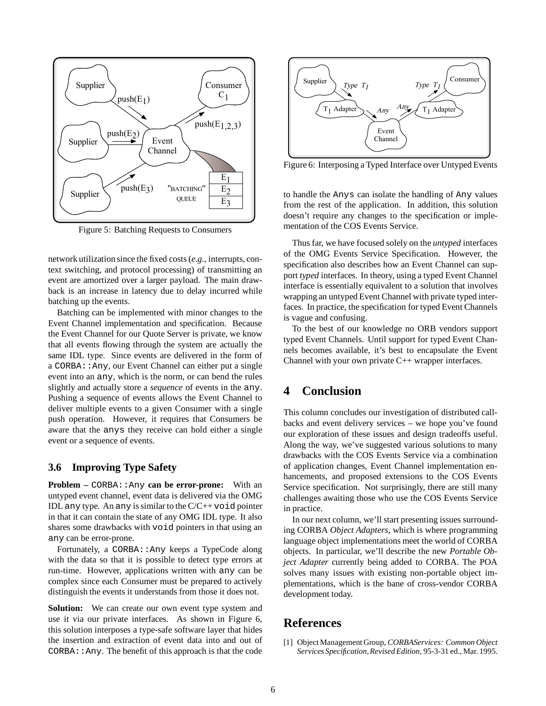

Figure 5: Batching Requests to Consumers

network utilization since the fixed costs (*e.g.,* interrupts, context switching, and protocol processing) of transmitting an event are amortized over a larger payload. The main drawback is an increase in latency due to delay incurred while batching up the events.

Batching can be implemented with minor changes to the Event Channel implementation and specification. Because the Event Channel for our Quote Server is private, we know that all events flowing through the system are actually the same IDL type. Since events are delivered in the form of a CORBA::Any, our Event Channel can either put a single event into an any, which is the norm, or can bend the rules slightly and actually store a *sequence* of events in the any. Pushing a sequence of events allows the Event Channel to deliver multiple events to a given Consumer with a single push operation. However, it requires that Consumers be aware that the anys they receive can hold either a single event or a sequence of events.

#### **3.6 Improving Type Safety**

**Problem –** CORBA:: Any **can be error-prone:** With an untyped event channel, event data is delivered via the OMG IDL any type. An any is similar to the  $C/C++$  void pointer in that it can contain the state of any OMG IDL type. It also shares some drawbacks with void pointers in that using an any can be error-prone.

Fortunately, a CORBA::Any keeps a TypeCode along with the data so that it is possible to detect type errors at run-time. However, applications written with any can be complex since each Consumer must be prepared to actively distinguish the events it understands from those it does not.

**Solution:** We can create our own event type system and use it via our private interfaces. As shown in Figure 6, this solution interposes a type-safe software layer that hides the insertion and extraction of event data into and out of CORBA::Any. The benefit of this approach is that the code



Figure 6: Interposing a Typed Interface over Untyped Events

to handle the Anys can isolate the handling of Any values from the rest of the application. In addition, this solution doesn't require any changes to the specification or implementation of the COS Events Service.

Thus far, we have focused solely on the *untyped* interfaces of the OMG Events Service Specification. However, the specification also describes how an Event Channel can support *typed* interfaces. In theory, using a typed Event Channel interface is essentially equivalent to a solution that involves wrapping an untyped Event Channel with private typed interfaces. In practice, the specification for typed Event Channels is vague and confusing.

To the best of our knowledge no ORB vendors support typed Event Channels. Until support for typed Event Channels becomes available, it's best to encapsulate the Event Channel with your own private C++ wrapper interfaces.

# **4 Conclusion**

This column concludes our investigation of distributed callbacks and event delivery services – we hope you've found our exploration of these issues and design tradeoffs useful. Along the way, we've suggested various solutions to many drawbacks with the COS Events Service via a combination of application changes, Event Channel implementation enhancements, and proposed extensions to the COS Events Service specification. Not surprisingly, there are still many challenges awaiting those who use the COS Events Service in practice.

In our next column, we'll start presenting issues surrounding CORBA *Object Adapters*, which is where programming language object implementations meet the world of CORBA objects. In particular, we'll describe the new *Portable Object Adapter* currently being added to CORBA. The POA solves many issues with existing non-portable object implementations, which is the bane of cross-vendor CORBA development today.

# **References**

[1] Object Management Group, *CORBAServices: Common Object ServicesSpecification,Revised Edition*, 95-3-31 ed., Mar. 1995.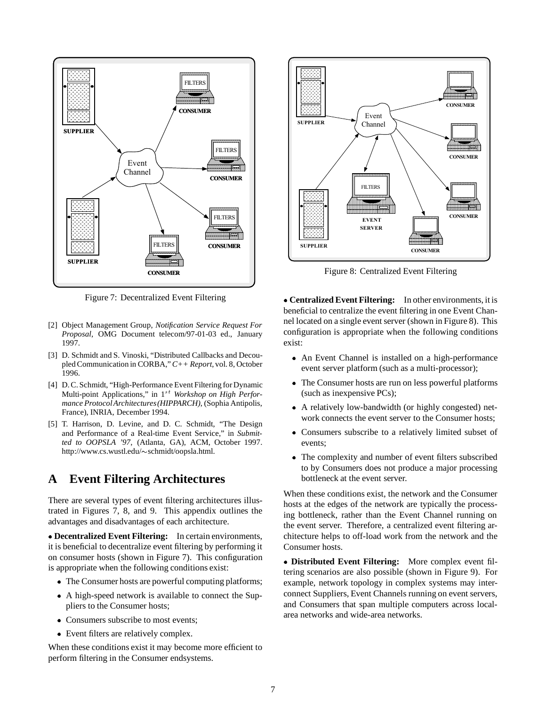

Figure 7: Decentralized Event Filtering

- [2] Object Management Group, *Notification Service Request For Proposal*, OMG Document telecom/97-01-03 ed., January 1997.
- [3] D. Schmidt and S. Vinoski, "Distributed Callbacks and Decoupled Communication in CORBA,"*C++ Report*, vol. 8, October 1996.
- [4] D. C. Schmidt, "High-Performance Event Filtering for Dynamic Multi-point Applications," in 1<sup>st</sup> Workshop on High Perfor*mance ProtocolArchitectures(HIPPARCH)*, (Sophia Antipolis, France), INRIA, December 1994.
- [5] T. Harrison, D. Levine, and D. C. Schmidt, "The Design and Performance of a Real-time Event Service," in *Submitted to OOPSLA '97*, (Atlanta, GA), ACM, October 1997. http://www.cs.wustl.edu/~schmidt/oopsla.html.

# **A Event Filtering Architectures**

There are several types of event filtering architectures illustrated in Figures 7, 8, and 9. This appendix outlines the advantages and disadvantages of each architecture.

 **Decentralized Event Filtering:** In certain environments, it is beneficial to decentralize event filtering by performing it on consumer hosts (shown in Figure 7). This configuration is appropriate when the following conditions exist:

- The Consumer hosts are powerful computing platforms;
- A high-speed network is available to connect the Suppliers to the Consumer hosts;
- Consumers subscribe to most events;
- Event filters are relatively complex.

When these conditions exist it may become more efficient to perform filtering in the Consumer endsystems.



Figure 8: Centralized Event Filtering

 **Centralized Event Filtering:** In other environments, it is beneficial to centralize the event filtering in one Event Channel located on a single event server (shown in Figure 8). This configuration is appropriate when the following conditions exist:

- An Event Channel is installed on a high-performance event server platform (such as a multi-processor);
- The Consumer hosts are run on less powerful platforms (such as inexpensive PCs);
- A relatively low-bandwidth (or highly congested) network connects the event server to the Consumer hosts;
- Consumers subscribe to a relatively limited subset of events;
- The complexity and number of event filters subscribed to by Consumers does not produce a major processing bottleneck at the event server.

When these conditions exist, the network and the Consumer hosts at the edges of the network are typically the processing bottleneck, rather than the Event Channel running on the event server. Therefore, a centralized event filtering architecture helps to off-load work from the network and the Consumer hosts.

 **Distributed Event Filtering:** More complex event filtering scenarios are also possible (shown in Figure 9). For example, network topology in complex systems may interconnect Suppliers, Event Channels running on event servers, and Consumers that span multiple computers across localarea networks and wide-area networks.